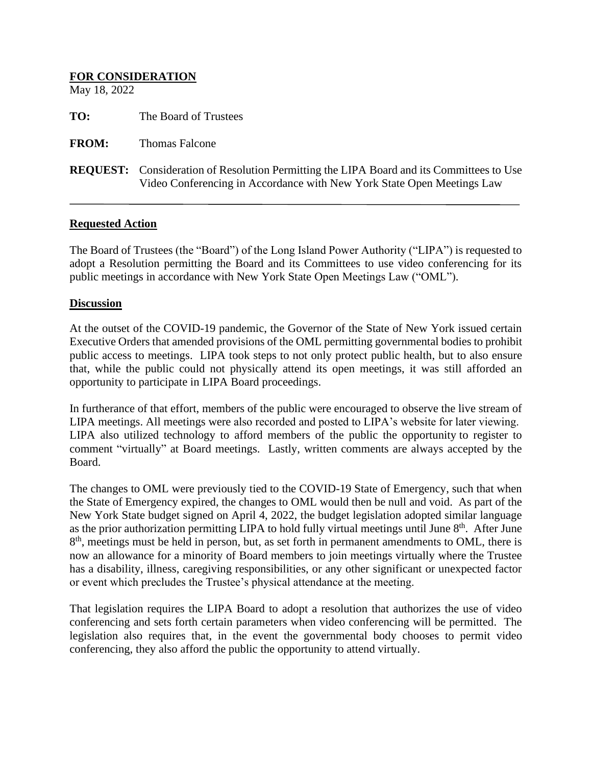# **FOR CONSIDERATION** May 18, 2022 **TO:** The Board of Trustees **FROM:** Thomas Falcone **REQUEST:** Consideration of Resolution Permitting the LIPA Board and its Committees to Use Video Conferencing in Accordance with New York State Open Meetings Law

#### **Requested Action**

The Board of Trustees (the "Board") of the Long Island Power Authority ("LIPA") is requested to adopt a Resolution permitting the Board and its Committees to use video conferencing for its public meetings in accordance with New York State Open Meetings Law ("OML").

#### **Discussion**

At the outset of the COVID-19 pandemic, the Governor of the State of New York issued certain Executive Orders that amended provisions of the OML permitting governmental bodies to prohibit public access to meetings. LIPA took steps to not only protect public health, but to also ensure that, while the public could not physically attend its open meetings, it was still afforded an opportunity to participate in LIPA Board proceedings.

In furtherance of that effort, members of the public were encouraged to observe the live stream of LIPA meetings. All meetings were also recorded and posted to LIPA's website for later viewing. LIPA also utilized technology to afford members of the public the opportunity to register to comment "virtually" at Board meetings. Lastly, written comments are always accepted by the Board.

The changes to OML were previously tied to the COVID-19 State of Emergency, such that when the State of Emergency expired, the changes to OML would then be null and void. As part of the New York State budget signed on April 4, 2022, the budget legislation adopted similar language as the prior authorization permitting LIPA to hold fully virtual meetings until June 8<sup>th</sup>. After June 8<sup>th</sup>, meetings must be held in person, but, as set forth in permanent amendments to OML, there is now an allowance for a minority of Board members to join meetings virtually where the Trustee has a disability, illness, caregiving responsibilities, or any other significant or unexpected factor or event which precludes the Trustee's physical attendance at the meeting.

That legislation requires the LIPA Board to adopt a resolution that authorizes the use of video conferencing and sets forth certain parameters when video conferencing will be permitted. The legislation also requires that, in the event the governmental body chooses to permit video conferencing, they also afford the public the opportunity to attend virtually.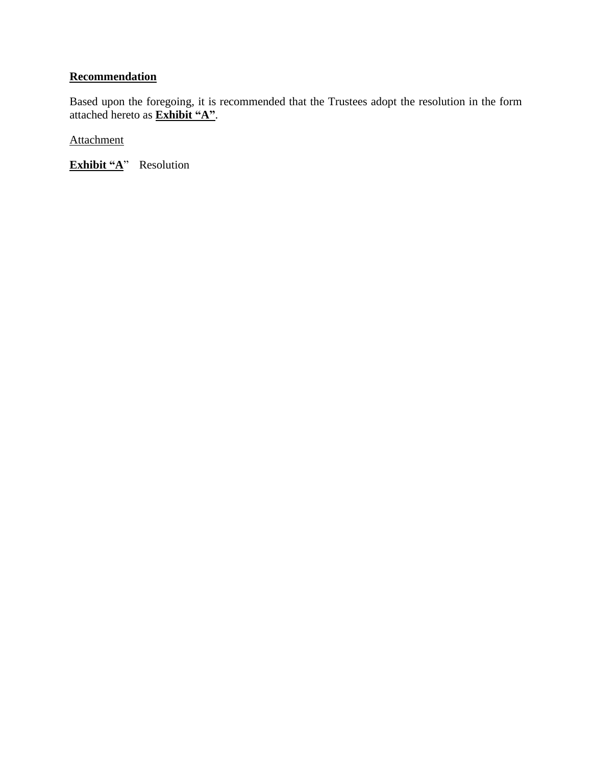## **Recommendation**

Based upon the foregoing, it is recommended that the Trustees adopt the resolution in the form attached hereto as **Exhibit "A"**.

Attachment

**Exhibit "A**" Resolution